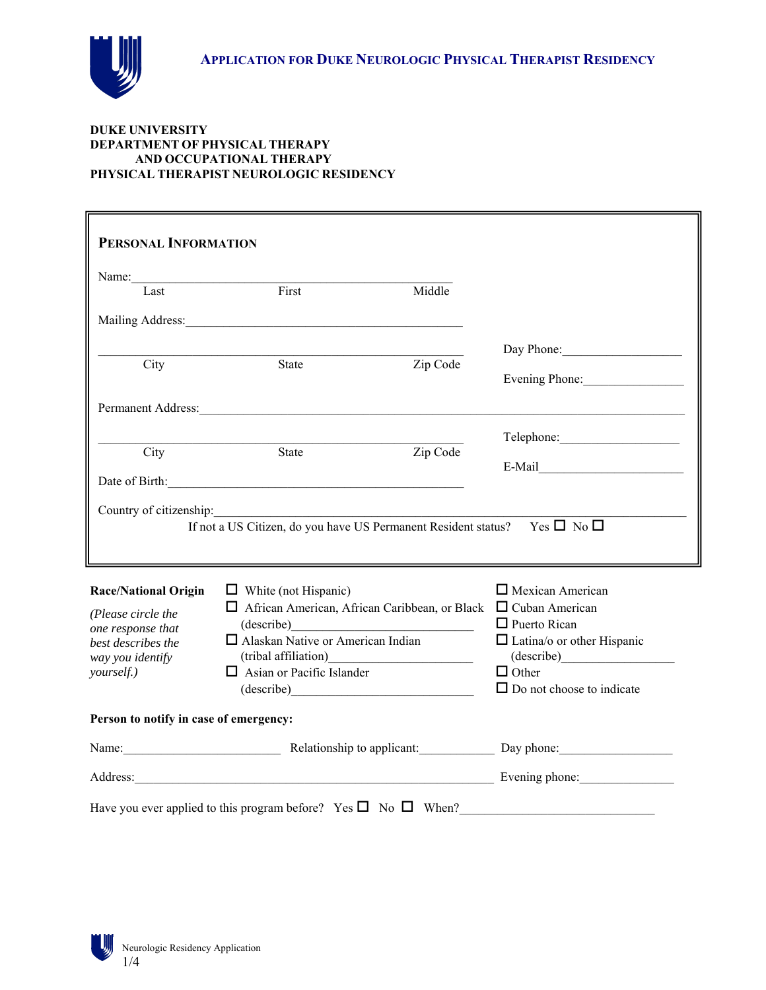

#### **DUKE UNIVERSITY DEPARTMENT OF PHYSICAL THERAPY AND OCCUPATIONAL THERAPY PHYSICAL THERAPIST NEUROLOGIC RESIDENCY**

| PERSONAL INFORMATION                   |                                                                                     |                                                                                                                                                                                                                               |
|----------------------------------------|-------------------------------------------------------------------------------------|-------------------------------------------------------------------------------------------------------------------------------------------------------------------------------------------------------------------------------|
| Name:                                  |                                                                                     |                                                                                                                                                                                                                               |
| Last                                   | First                                                                               | Middle                                                                                                                                                                                                                        |
|                                        |                                                                                     |                                                                                                                                                                                                                               |
|                                        |                                                                                     | Day Phone:                                                                                                                                                                                                                    |
| City                                   | <b>State</b>                                                                        | Zip Code<br>Evening Phone:                                                                                                                                                                                                    |
|                                        |                                                                                     |                                                                                                                                                                                                                               |
|                                        |                                                                                     |                                                                                                                                                                                                                               |
| City                                   | State                                                                               | Zip Code                                                                                                                                                                                                                      |
|                                        |                                                                                     | $E-Mail$                                                                                                                                                                                                                      |
|                                        | If not a US Citizen, do you have US Permanent Resident status? Yes $\Box$ No $\Box$ |                                                                                                                                                                                                                               |
| <b>Race/National Origin</b>            | $\Box$ White (not Hispanic)                                                         | $\Box$ Mexican American                                                                                                                                                                                                       |
| (Please circle the                     | □ African American, African Caribbean, or Black □ Cuban American                    |                                                                                                                                                                                                                               |
| one response that                      | (describe)                                                                          | $\Box$ Puerto Rican                                                                                                                                                                                                           |
| best describes the                     | $\Box$ Alaskan Native or American Indian                                            | $\Box$ Latina/o or other Hispanic<br>(describe)                                                                                                                                                                               |
| way you identify<br>yourself.)         | $\Box$ Asian or Pacific Islander                                                    | $\Box$ Other                                                                                                                                                                                                                  |
|                                        | (describe)                                                                          | $\Box$ Do not choose to indicate                                                                                                                                                                                              |
| Person to notify in case of emergency: |                                                                                     |                                                                                                                                                                                                                               |
|                                        |                                                                                     | Name: Name: Name: Name: Name: Name: Name: Name: Name: Name: Name: Name: Name: Name: Name: Name: Name: Name: Name: Name: Name: Name: Name: Name: Name: Name: Name: Name: Name: Name: Name: Name: Name: Name: Name: Name: Name: |
|                                        |                                                                                     | Address: Evening phone: Evening phone:                                                                                                                                                                                        |
|                                        | Have you ever applied to this program before? Yes $\square$ No $\square$ When?      |                                                                                                                                                                                                                               |

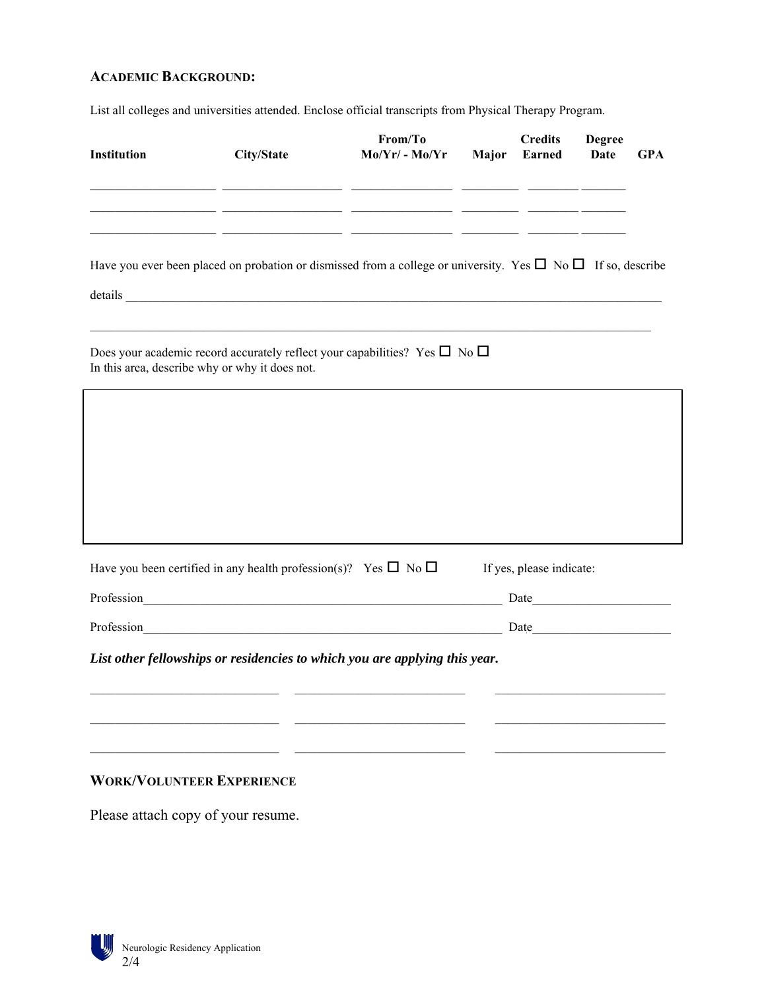# **ACADEMIC BACKGROUND:**

List all colleges and universities attended. Enclose official transcripts from Physical Therapy Program.

| Institution                                                                                                                                  | City/State                                          | From/To<br>$Mo/Yr/-Mo/Yr$ Major                                                                                     | <b>Credits</b><br>Earned                                                                                                                                                                                                      | <b>Degree</b><br>Date | <b>GPA</b> |
|----------------------------------------------------------------------------------------------------------------------------------------------|-----------------------------------------------------|---------------------------------------------------------------------------------------------------------------------|-------------------------------------------------------------------------------------------------------------------------------------------------------------------------------------------------------------------------------|-----------------------|------------|
|                                                                                                                                              |                                                     | <u> 1980 - 1980 - 1980 - 1980 - 1980 - 1980 - 1980 - 1980 - 1980 - 1980 - 1980 - 1980 - 1980 - 1980 - 1980 - 19</u> |                                                                                                                                                                                                                               |                       |            |
| Have you ever been placed on probation or dismissed from a college or university. Yes $\Box$ No $\Box$ If so, describe                       |                                                     |                                                                                                                     |                                                                                                                                                                                                                               |                       |            |
| Does your academic record accurately reflect your capabilities? Yes $\square$ No $\square$<br>In this area, describe why or why it does not. |                                                     |                                                                                                                     |                                                                                                                                                                                                                               |                       |            |
|                                                                                                                                              |                                                     |                                                                                                                     |                                                                                                                                                                                                                               |                       |            |
|                                                                                                                                              |                                                     |                                                                                                                     |                                                                                                                                                                                                                               |                       |            |
| Have you been certified in any health profession(s)? Yes $\Box$ No $\Box$                                                                    |                                                     |                                                                                                                     | If yes, please indicate:                                                                                                                                                                                                      |                       |            |
| Profession Profession<br>Profession                                                                                                          | <u> 1980 - Johann Stein, marwolaethau (b. 1980)</u> |                                                                                                                     | Date and the same state of the state of the state of the state of the state of the state of the state of the state of the state of the state of the state of the state of the state of the state of the state of the state of |                       |            |
| List other fellowships or residencies to which you are applying this year.                                                                   |                                                     |                                                                                                                     |                                                                                                                                                                                                                               |                       |            |
|                                                                                                                                              |                                                     |                                                                                                                     |                                                                                                                                                                                                                               |                       |            |
|                                                                                                                                              |                                                     |                                                                                                                     |                                                                                                                                                                                                                               |                       |            |
| <b>WORK/VOLUNTEER EXPERIENCE</b>                                                                                                             |                                                     |                                                                                                                     |                                                                                                                                                                                                                               |                       |            |
| Please attach copy of your resume.                                                                                                           |                                                     |                                                                                                                     |                                                                                                                                                                                                                               |                       |            |

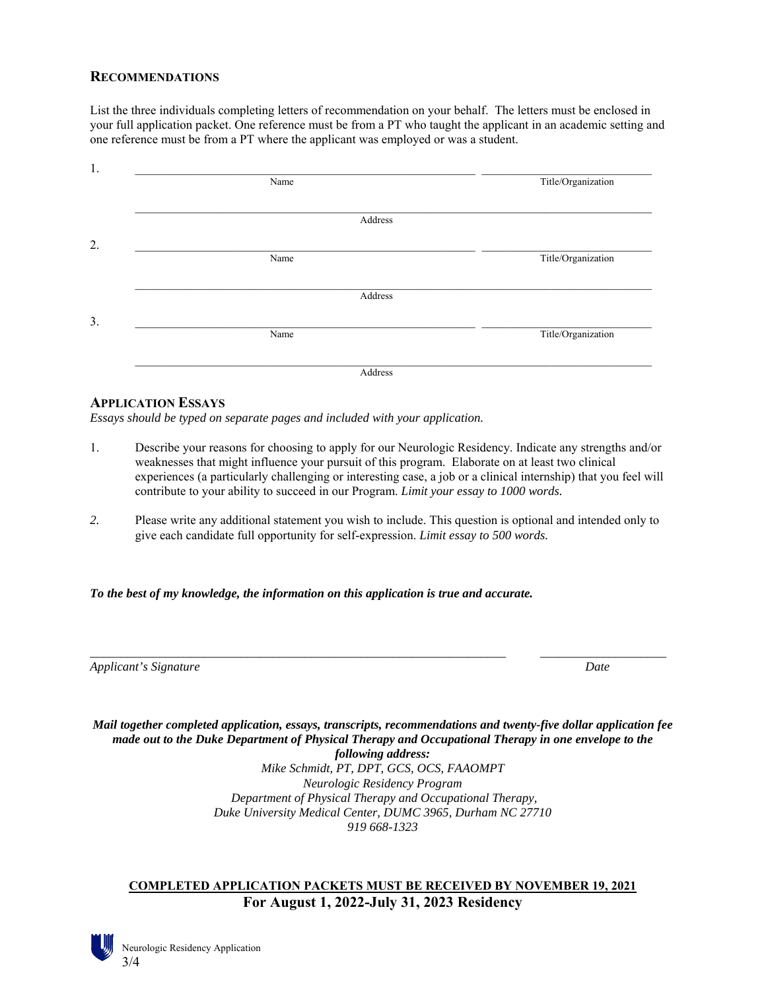### **RECOMMENDATIONS**

List the three individuals completing letters of recommendation on your behalf. The letters must be enclosed in your full application packet. One reference must be from a PT who taught the applicant in an academic setting and one reference must be from a PT where the applicant was employed or was a student.

| Name    | Title/Organization |
|---------|--------------------|
|         |                    |
| Address |                    |
|         |                    |
| Name    | Title/Organization |
|         |                    |
| Address |                    |
|         |                    |
| Name    | Title/Organization |
|         |                    |
| Address |                    |

### **APPLICATION ESSAYS**

*Essays should be typed on separate pages and included with your application.*

- 1. Describe your reasons for choosing to apply for our Neurologic Residency. Indicate any strengths and/or weaknesses that might influence your pursuit of this program. Elaborate on at least two clinical experiences (a particularly challenging or interesting case, a job or a clinical internship) that you feel will contribute to your ability to succeed in our Program. *Limit your essay to 1000 words.*
- *2.* Please write any additional statement you wish to include. This question is optional and intended only to give each candidate full opportunity for self-expression. *Limit essay to 500 words.*

*\_\_\_\_\_\_\_\_\_\_\_\_\_\_\_\_\_\_\_\_\_\_\_\_\_\_\_\_\_\_\_\_\_\_\_\_\_\_\_\_\_\_\_\_\_\_\_\_\_\_\_\_\_\_\_\_\_\_\_\_\_\_\_\_\_\_ \_\_\_\_\_\_\_\_\_\_\_\_\_\_\_\_\_\_\_\_* 

*To the best of my knowledge, the information on this application is true and accurate.* 

*Applicant's Signature* Date *Date Date Date Date* 

*Mail together completed application, essays, transcripts, recommendations and twenty-five dollar application fee made out to the Duke Department of Physical Therapy and Occupational Therapy in one envelope to the following address: Mike Schmidt, PT, DPT, GCS, OCS, FAAOMPT Neurologic Residency Program Department of Physical Therapy and Occupational Therapy, Duke University Medical Center, DUMC 3965, Durham NC 27710 919 668-1323* 

## **COMPLETED APPLICATION PACKETS MUST BE RECEIVED BY NOVEMBER 19, 2021 For August 1, 2022-July 31, 2023 Residency**



Neurologic Residency Application